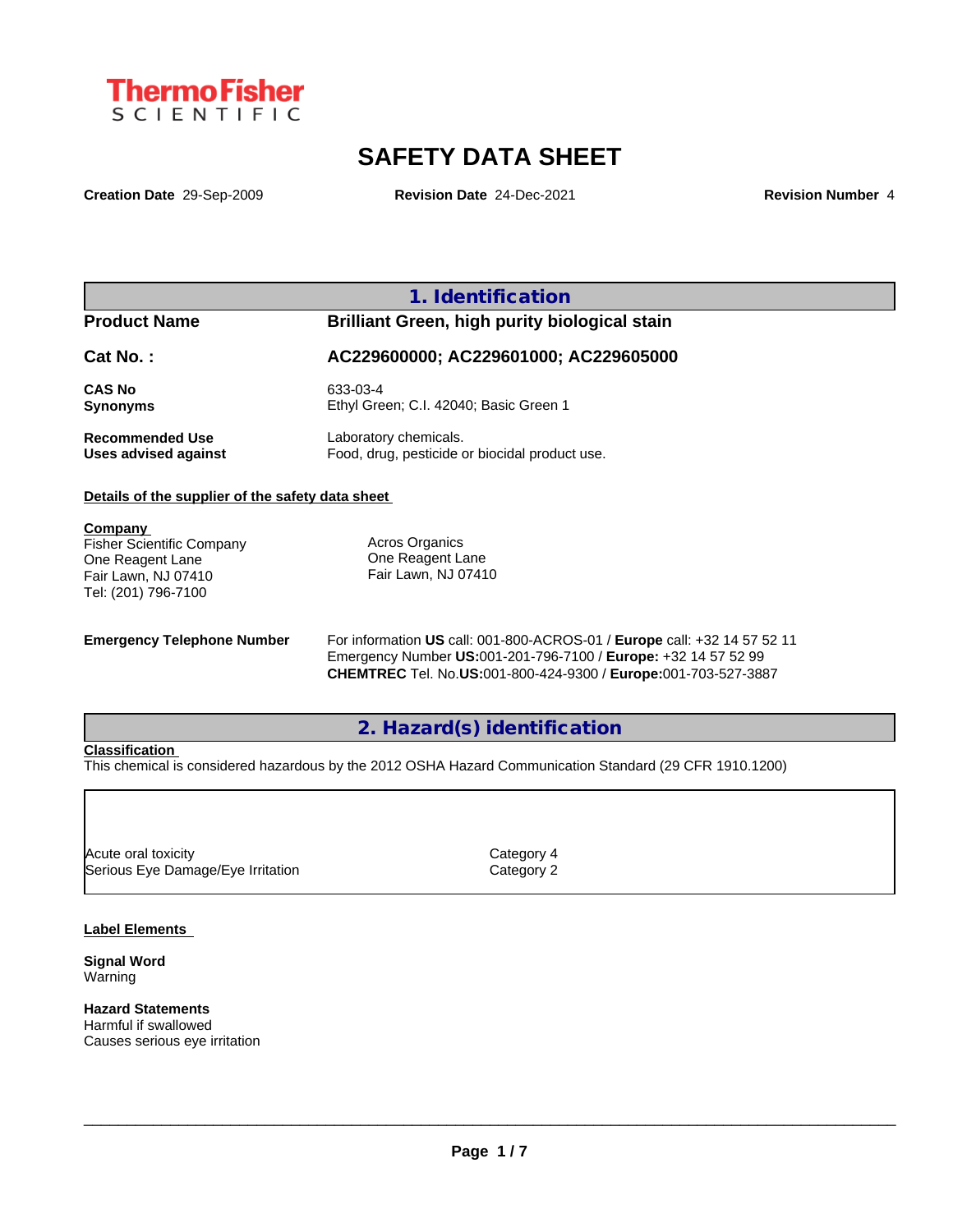

# **SAFETY DATA SHEET**

**Creation Date** 29-Sep-2009 **Revision Date** 24-Dec-2021 **Revision Number** 4

**1. Identification**

**Product Name Brilliant Green, high purity biological stain**

**Cat No. : AC229600000; AC229601000; AC229605000**

**CAS No** 633-03-4

**Synonyms** Ethyl Green; C.I. 42040; Basic Green 1

**Recommended Use** Laboratory chemicals.<br> **Uses advised against** Food, drug, pesticide of Food, drug, pesticide or biocidal product use.

#### **Details of the supplier of the safety data sheet**

**Company** 

Fisher Scientific Company One Reagent Lane Fair Lawn, NJ 07410 Tel: (201) 796-7100

Acros Organics One Reagent Lane Fair Lawn, NJ 07410

**Emergency Telephone Number** For information **US** call: 001-800-ACROS-01 / **Europe** call: +32 14 57 52 11 Emergency Number **US:**001-201-796-7100 / **Europe:** +32 14 57 52 99 **CHEMTREC** Tel. No.**US:**001-800-424-9300 / **Europe:**001-703-527-3887

**2. Hazard(s) identification**

#### **Classification**

This chemical is considered hazardous by the 2012 OSHA Hazard Communication Standard (29 CFR 1910.1200)

Acute oral toxicity and the contract of the Category 4 Serious Eye Damage/Eye Irritation Category 2

#### **Label Elements**

**Signal Word** Warning

**Hazard Statements**

Harmful if swallowed Causes serious eye irritation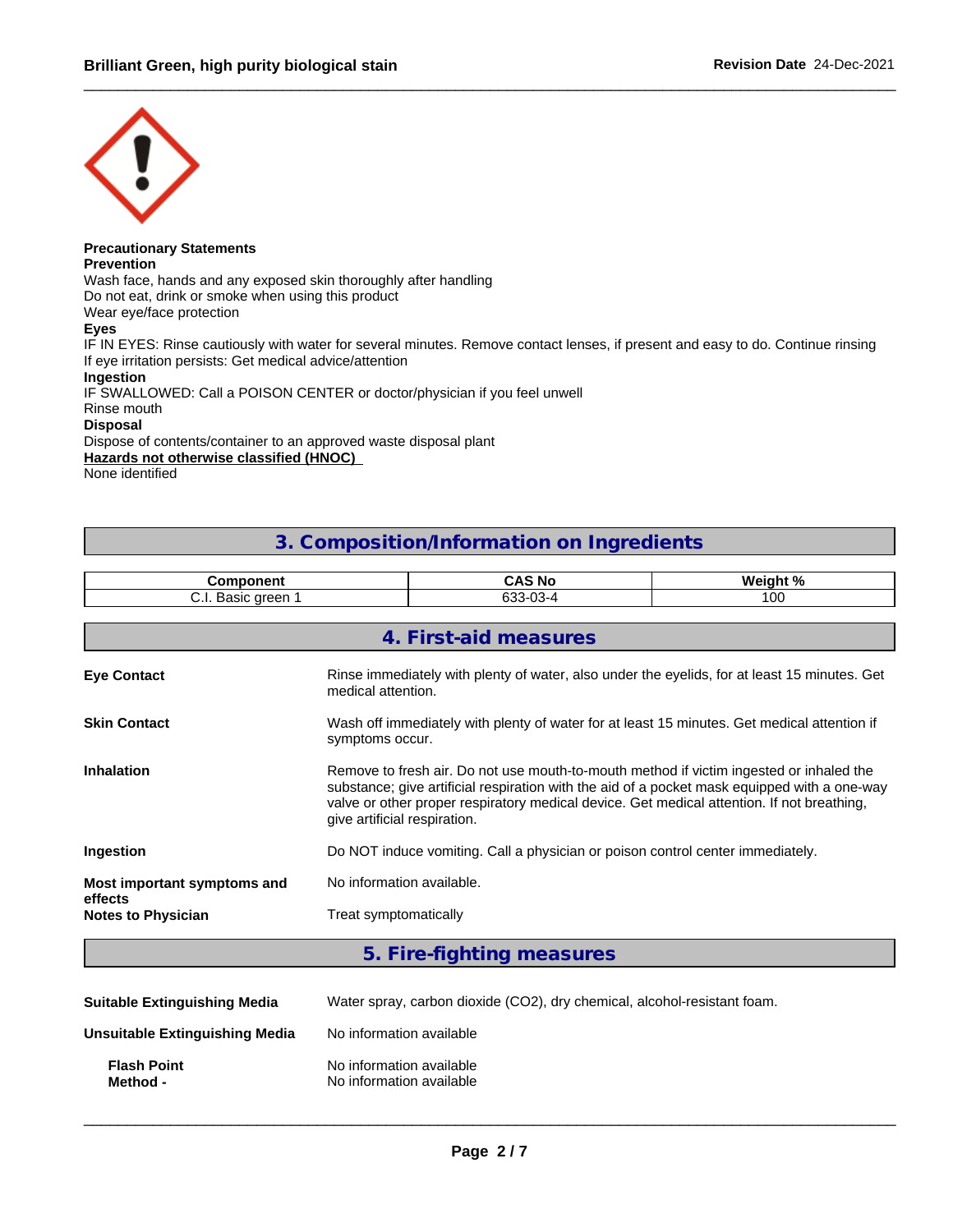

### **Precautionary Statements**

#### **Prevention**

Wash face, hands and any exposed skin thoroughly after handling

Do not eat, drink or smoke when using this product

Wear eye/face protection

#### **Eyes**

IF IN EYES: Rinse cautiously with water for several minutes. Remove contact lenses, if present and easy to do. Continue rinsing If eye irritation persists: Get medical advice/attention

#### **Ingestion**

IF SWALLOWED: Call a POISON CENTER or doctor/physician if you feel unwell

### Rinse mouth

#### **Disposal**

Dispose of contents/container to an approved waste disposal plant

**Hazards not otherwise classified (HNOC)**

None identified

### **3. Composition/Information on Ingredients**

|                     | <b>Component</b>                                                                                                   | <b>CAS No</b>         | Weight % |  |  |  |
|---------------------|--------------------------------------------------------------------------------------------------------------------|-----------------------|----------|--|--|--|
|                     | C.I. Basic green 1<br>633-03-4<br>100                                                                              |                       |          |  |  |  |
|                     |                                                                                                                    |                       |          |  |  |  |
|                     |                                                                                                                    | 4. First-aid measures |          |  |  |  |
| <b>Eve Contact</b>  | Rinse immediately with plenty of water, also under the eyelids, for at least 15 minutes. Get<br>medical attention. |                       |          |  |  |  |
| <b>Skin Contact</b> | Wash off immediately with plenty of water for at least 15 minutes. Get medical attention if<br>symptoms occur.     |                       |          |  |  |  |

### **Ingestion Do NOT** induce vomiting. Call a physician or poison control center immediately.

| Most important symptoms and | No information available. |
|-----------------------------|---------------------------|
| effects                     |                           |
| <b>Notes to Physician</b>   | Treat symptomatically     |

### **5. Fire-fighting measures**

| <b>Suitable Extinguishing Media</b> | Water spray, carbon dioxide (CO2), dry chemical, alcohol-resistant foam. |
|-------------------------------------|--------------------------------------------------------------------------|
| Unsuitable Extinguishing Media      | No information available                                                 |
| <b>Flash Point</b><br>Method -      | No information available<br>No information available                     |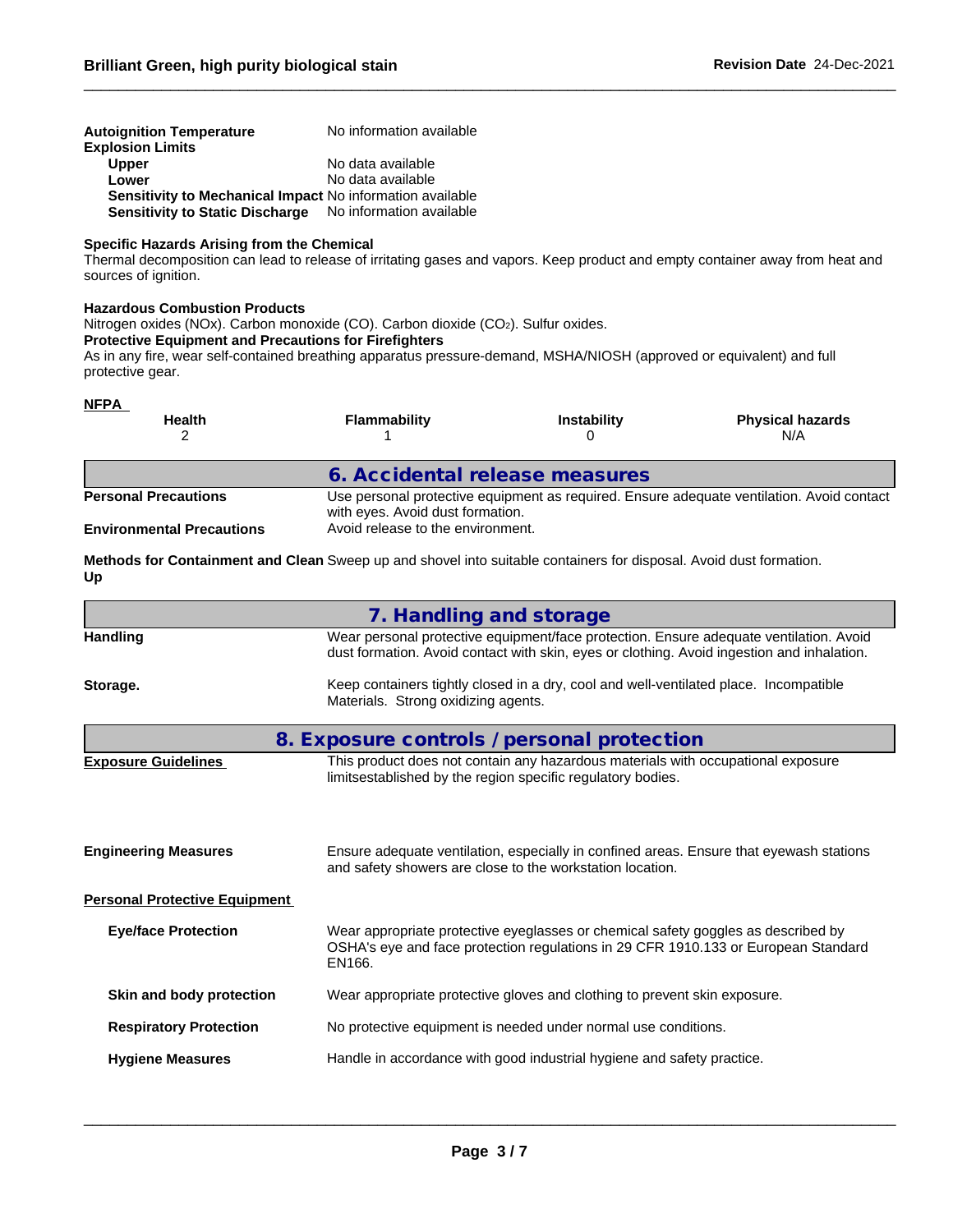| Autoignition Temperature<br><b>Explosion Limits</b>              | No information available |
|------------------------------------------------------------------|--------------------------|
| <b>Upper</b>                                                     | No data available        |
| Lower                                                            | No data available        |
| <b>Sensitivity to Mechanical Impact No information available</b> |                          |
| Sensitivity to Static Discharge No information available         |                          |

#### **Specific Hazards Arising from the Chemical**

Thermal decomposition can lead to release of irritating gases and vapors. Keep product and empty container away from heat and sources of ignition.

#### **Hazardous Combustion Products**

Nitrogen oxides (NOx). Carbon monoxide (CO). Carbon dioxide (CO2). Sulfur oxides.

#### **Protective Equipment and Precautions for Firefighters**

As in any fire, wear self-contained breathing apparatus pressure-demand, MSHA/NIOSH (approved or equivalent) and full protective gear.

| NFPA                                                                                                                                                                                                            |                                            |                                                                                                                                                 |                                                                                                                                                                                      |  |  |  |  |  |  |
|-----------------------------------------------------------------------------------------------------------------------------------------------------------------------------------------------------------------|--------------------------------------------|-------------------------------------------------------------------------------------------------------------------------------------------------|--------------------------------------------------------------------------------------------------------------------------------------------------------------------------------------|--|--|--|--|--|--|
| <b>Health</b><br>2                                                                                                                                                                                              | Flammability<br>1                          | <b>Instability</b><br>0                                                                                                                         | <b>Physical hazards</b><br>N/A                                                                                                                                                       |  |  |  |  |  |  |
|                                                                                                                                                                                                                 |                                            |                                                                                                                                                 |                                                                                                                                                                                      |  |  |  |  |  |  |
|                                                                                                                                                                                                                 | 6. Accidental release measures             |                                                                                                                                                 |                                                                                                                                                                                      |  |  |  |  |  |  |
| <b>Personal Precautions</b>                                                                                                                                                                                     | with eyes. Avoid dust formation.           |                                                                                                                                                 | Use personal protective equipment as required. Ensure adequate ventilation. Avoid contact                                                                                            |  |  |  |  |  |  |
| <b>Environmental Precautions</b>                                                                                                                                                                                |                                            | Avoid release to the environment.                                                                                                               |                                                                                                                                                                                      |  |  |  |  |  |  |
| Methods for Containment and Clean Sweep up and shovel into suitable containers for disposal. Avoid dust formation.<br>Up                                                                                        |                                            |                                                                                                                                                 |                                                                                                                                                                                      |  |  |  |  |  |  |
|                                                                                                                                                                                                                 | 7. Handling and storage                    |                                                                                                                                                 |                                                                                                                                                                                      |  |  |  |  |  |  |
| <b>Handling</b>                                                                                                                                                                                                 |                                            |                                                                                                                                                 | Wear personal protective equipment/face protection. Ensure adequate ventilation. Avoid<br>dust formation. Avoid contact with skin, eyes or clothing. Avoid ingestion and inhalation. |  |  |  |  |  |  |
| Storage.                                                                                                                                                                                                        | Materials. Strong oxidizing agents.        | Keep containers tightly closed in a dry, cool and well-ventilated place. Incompatible                                                           |                                                                                                                                                                                      |  |  |  |  |  |  |
|                                                                                                                                                                                                                 | 8. Exposure controls / personal protection |                                                                                                                                                 |                                                                                                                                                                                      |  |  |  |  |  |  |
| <b>Exposure Guidelines</b>                                                                                                                                                                                      |                                            | This product does not contain any hazardous materials with occupational exposure<br>limitsestablished by the region specific regulatory bodies. |                                                                                                                                                                                      |  |  |  |  |  |  |
| <b>Engineering Measures</b>                                                                                                                                                                                     |                                            | and safety showers are close to the workstation location.                                                                                       | Ensure adequate ventilation, especially in confined areas. Ensure that eyewash stations                                                                                              |  |  |  |  |  |  |
| <b>Personal Protective Equipment</b>                                                                                                                                                                            |                                            |                                                                                                                                                 |                                                                                                                                                                                      |  |  |  |  |  |  |
| Wear appropriate protective eyeglasses or chemical safety goggles as described by<br><b>Eye/face Protection</b><br>OSHA's eye and face protection regulations in 29 CFR 1910.133 or European Standard<br>EN166. |                                            |                                                                                                                                                 |                                                                                                                                                                                      |  |  |  |  |  |  |
| Skin and body protection                                                                                                                                                                                        |                                            | Wear appropriate protective gloves and clothing to prevent skin exposure.                                                                       |                                                                                                                                                                                      |  |  |  |  |  |  |
| <b>Respiratory Protection</b>                                                                                                                                                                                   |                                            | No protective equipment is needed under normal use conditions.                                                                                  |                                                                                                                                                                                      |  |  |  |  |  |  |
| <b>Hygiene Measures</b>                                                                                                                                                                                         |                                            | Handle in accordance with good industrial hygiene and safety practice.                                                                          |                                                                                                                                                                                      |  |  |  |  |  |  |
|                                                                                                                                                                                                                 |                                            |                                                                                                                                                 |                                                                                                                                                                                      |  |  |  |  |  |  |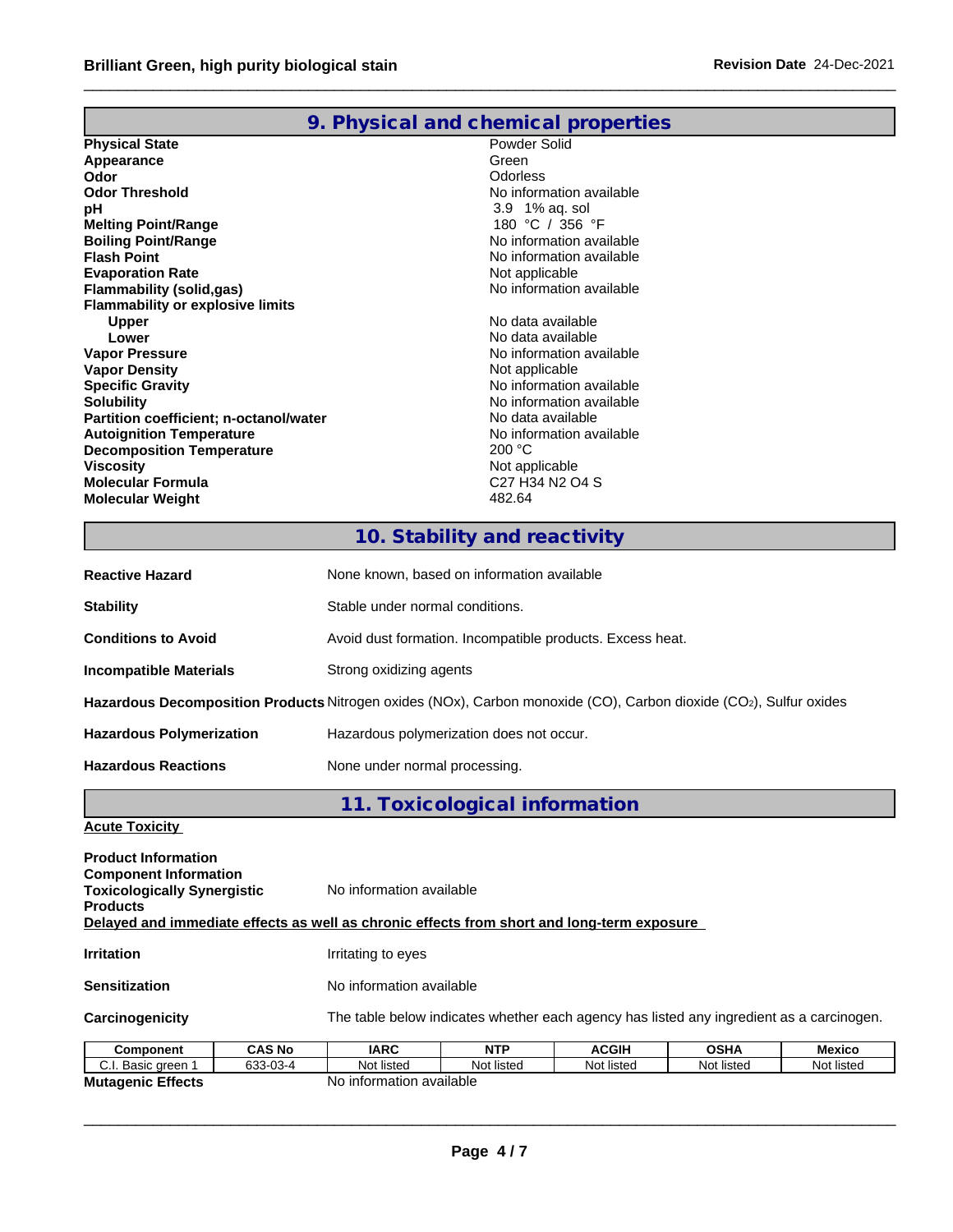|                                         | 9. Physical and chemical properties                             |
|-----------------------------------------|-----------------------------------------------------------------|
| <b>Physical State</b>                   | Powder Solid                                                    |
| Appearance                              | Green                                                           |
| Odor                                    | Odorless                                                        |
| <b>Odor Threshold</b>                   | No information available                                        |
| рH                                      | 3.9 1% aq. sol                                                  |
| <b>Melting Point/Range</b>              | 180 °C / 356 °F                                                 |
| <b>Boiling Point/Range</b>              | No information available                                        |
| <b>Flash Point</b>                      | No information available                                        |
| <b>Evaporation Rate</b>                 | Not applicable                                                  |
| <b>Flammability (solid,gas)</b>         | No information available                                        |
| <b>Flammability or explosive limits</b> |                                                                 |
| <b>Upper</b>                            | No data available                                               |
| Lower                                   | No data available                                               |
| <b>Vapor Pressure</b>                   | No information available                                        |
| <b>Vapor Density</b>                    | Not applicable                                                  |
| <b>Specific Gravity</b>                 | No information available                                        |
| <b>Solubility</b>                       | No information available                                        |
| Partition coefficient; n-octanol/water  | No data available                                               |
| <b>Autoignition Temperature</b>         | No information available                                        |
| <b>Decomposition Temperature</b>        | 200 °C                                                          |
| <b>Viscosity</b>                        | Not applicable                                                  |
| <b>Molecular Formula</b>                | C <sub>27</sub> H <sub>34</sub> N <sub>2</sub> O <sub>4</sub> S |
| <b>Molecular Weight</b>                 | 482.64                                                          |

# **10. Stability and reactivity**

| <b>Reactive Hazard</b>          | None known, based on information available                                                                        |
|---------------------------------|-------------------------------------------------------------------------------------------------------------------|
| <b>Stability</b>                | Stable under normal conditions.                                                                                   |
| <b>Conditions to Avoid</b>      | Avoid dust formation. Incompatible products. Excess heat.                                                         |
| <b>Incompatible Materials</b>   | Strong oxidizing agents                                                                                           |
|                                 | Hazardous Decomposition Products Nitrogen oxides (NOx), Carbon monoxide (CO), Carbon dioxide (CO2), Sulfur oxides |
| <b>Hazardous Polymerization</b> | Hazardous polymerization does not occur.                                                                          |
| <b>Hazardous Reactions</b>      | None under normal processing.                                                                                     |

**11. Toxicological information**

**Acute Toxicity**

| <b>Product Information</b><br><b>Component Information</b>                                 |                          |                                                                                          |              |             |               |
|--------------------------------------------------------------------------------------------|--------------------------|------------------------------------------------------------------------------------------|--------------|-------------|---------------|
| <b>Toxicologically Synergistic</b><br><b>Products</b>                                      | No information available |                                                                                          |              |             |               |
| Delayed and immediate effects as well as chronic effects from short and long-term exposure |                          |                                                                                          |              |             |               |
| <b>Irritation</b>                                                                          | Irritating to eyes       |                                                                                          |              |             |               |
| <b>Sensitization</b>                                                                       | No information available |                                                                                          |              |             |               |
| Carcinogenicity                                                                            |                          | The table below indicates whether each agency has listed any ingredient as a carcinogen. |              |             |               |
| <b>CAS No</b><br><b>Component</b>                                                          | <b>IARC</b>              | <b>NTP</b>                                                                               | <b>ACGIH</b> | <b>OSHA</b> | <b>Mexico</b> |

| Component                     | CAS No     | <b>IARC</b>                 | <b>NTF</b> | <b>ACGIH</b> | <b>OSHA</b> | <b>Mexico</b> |
|-------------------------------|------------|-----------------------------|------------|--------------|-------------|---------------|
| Basic green<br>~<br>U.I.      | 4-03-3 كەب | * listed<br>Not             | Not listed | Not listed   | Not listed  | Not listeo    |
| <b>Effects</b><br>Mutagenic I |            | information available<br>N٥ |            |              |             |               |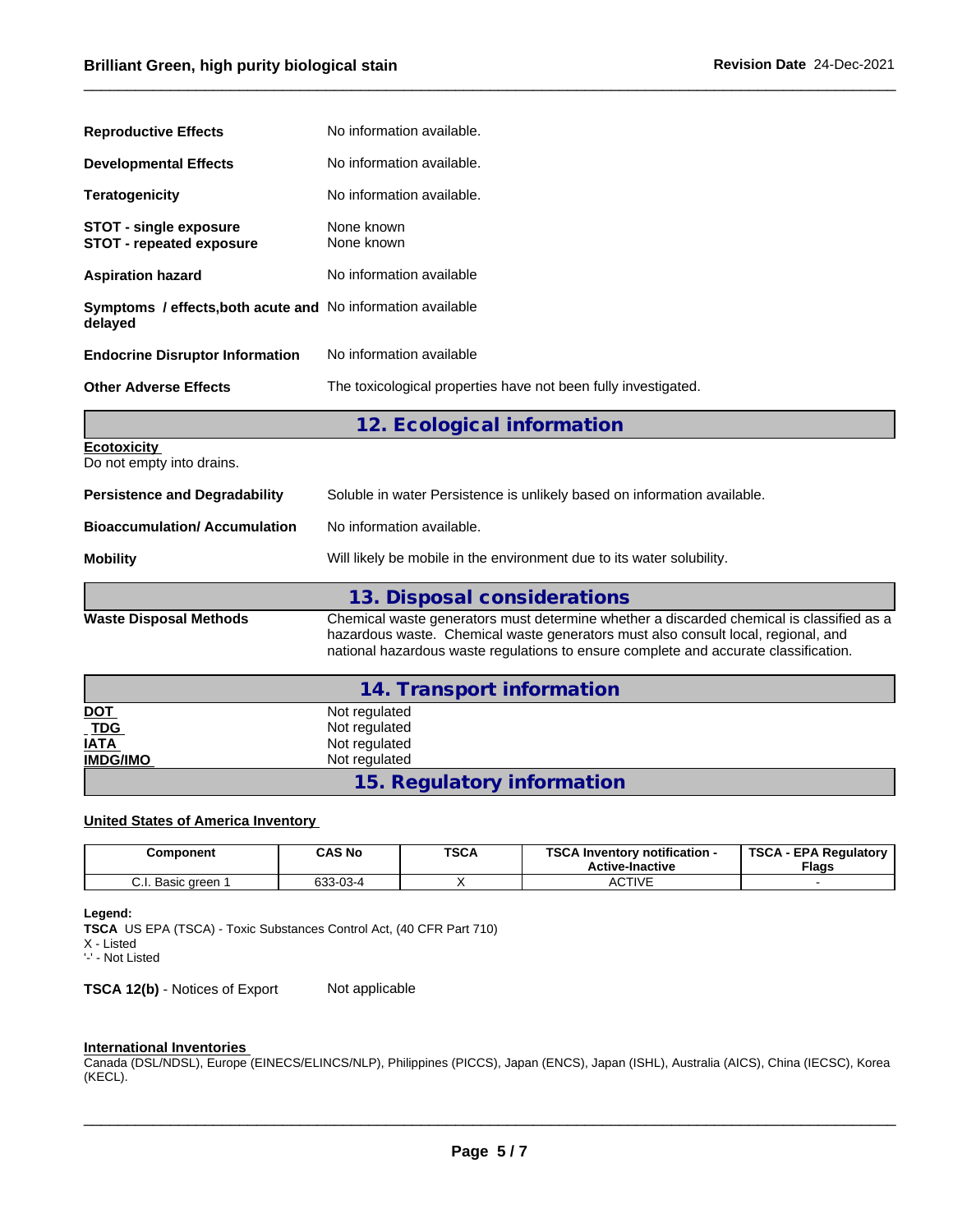| <b>Reproductive Effects</b>                                            | No information available.                                                                                                                                                                                                                                             |  |  |  |  |  |
|------------------------------------------------------------------------|-----------------------------------------------------------------------------------------------------------------------------------------------------------------------------------------------------------------------------------------------------------------------|--|--|--|--|--|
| <b>Developmental Effects</b>                                           | No information available.                                                                                                                                                                                                                                             |  |  |  |  |  |
| <b>Teratogenicity</b><br>No information available.                     |                                                                                                                                                                                                                                                                       |  |  |  |  |  |
| <b>STOT - single exposure</b><br><b>STOT - repeated exposure</b>       | None known<br>None known                                                                                                                                                                                                                                              |  |  |  |  |  |
| <b>Aspiration hazard</b>                                               | No information available                                                                                                                                                                                                                                              |  |  |  |  |  |
| Symptoms / effects, both acute and No information available<br>delayed |                                                                                                                                                                                                                                                                       |  |  |  |  |  |
| <b>Endocrine Disruptor Information</b>                                 | No information available                                                                                                                                                                                                                                              |  |  |  |  |  |
| <b>Other Adverse Effects</b>                                           | The toxicological properties have not been fully investigated.                                                                                                                                                                                                        |  |  |  |  |  |
|                                                                        | 12. Ecological information                                                                                                                                                                                                                                            |  |  |  |  |  |
| <b>Ecotoxicity</b><br>Do not empty into drains.                        |                                                                                                                                                                                                                                                                       |  |  |  |  |  |
| <b>Persistence and Degradability</b>                                   | Soluble in water Persistence is unlikely based on information available.                                                                                                                                                                                              |  |  |  |  |  |
| <b>Bioaccumulation/ Accumulation</b>                                   | No information available.                                                                                                                                                                                                                                             |  |  |  |  |  |
| <b>Mobility</b>                                                        | Will likely be mobile in the environment due to its water solubility.                                                                                                                                                                                                 |  |  |  |  |  |
|                                                                        | 13. Disposal considerations                                                                                                                                                                                                                                           |  |  |  |  |  |
| <b>Waste Disposal Methods</b>                                          | Chemical waste generators must determine whether a discarded chemical is classified as a<br>hazardous waste. Chemical waste generators must also consult local, regional, and<br>national hazardous waste regulations to ensure complete and accurate classification. |  |  |  |  |  |
|                                                                        | 14. Transport information                                                                                                                                                                                                                                             |  |  |  |  |  |
| <u>DOT</u><br><b>TDG</b><br><b>IATA</b><br><b>IMDG/IMO</b>             | Not regulated<br>Not regulated<br>Not regulated<br>Not regulated                                                                                                                                                                                                      |  |  |  |  |  |
|                                                                        | 15. Regulatory information                                                                                                                                                                                                                                            |  |  |  |  |  |

#### **United States of America Inventory**

| Component                               | <b>CAS No</b> | <b>TSCA</b> | TOO ALL<br><br>- Inventorv notification ا<br><b>Active-Inactive</b> | <b>TSCA</b><br><b>EPA Regulatory</b><br><b>Flags</b> |
|-----------------------------------------|---------------|-------------|---------------------------------------------------------------------|------------------------------------------------------|
| ~<br>. Basic green <sup>.</sup><br>U.I. | $33-03-4$     | $\cdots$    | CTIVE<br>8911 V L                                                   |                                                      |

#### **Legend:**

**TSCA** US EPA (TSCA) - Toxic Substances Control Act, (40 CFR Part 710) X - Listed '-' - Not Listed

**TSCA 12(b)** - Notices of Export Not applicable

#### **International Inventories**

Canada (DSL/NDSL), Europe (EINECS/ELINCS/NLP), Philippines (PICCS), Japan (ENCS), Japan (ISHL), Australia (AICS), China (IECSC), Korea (KECL).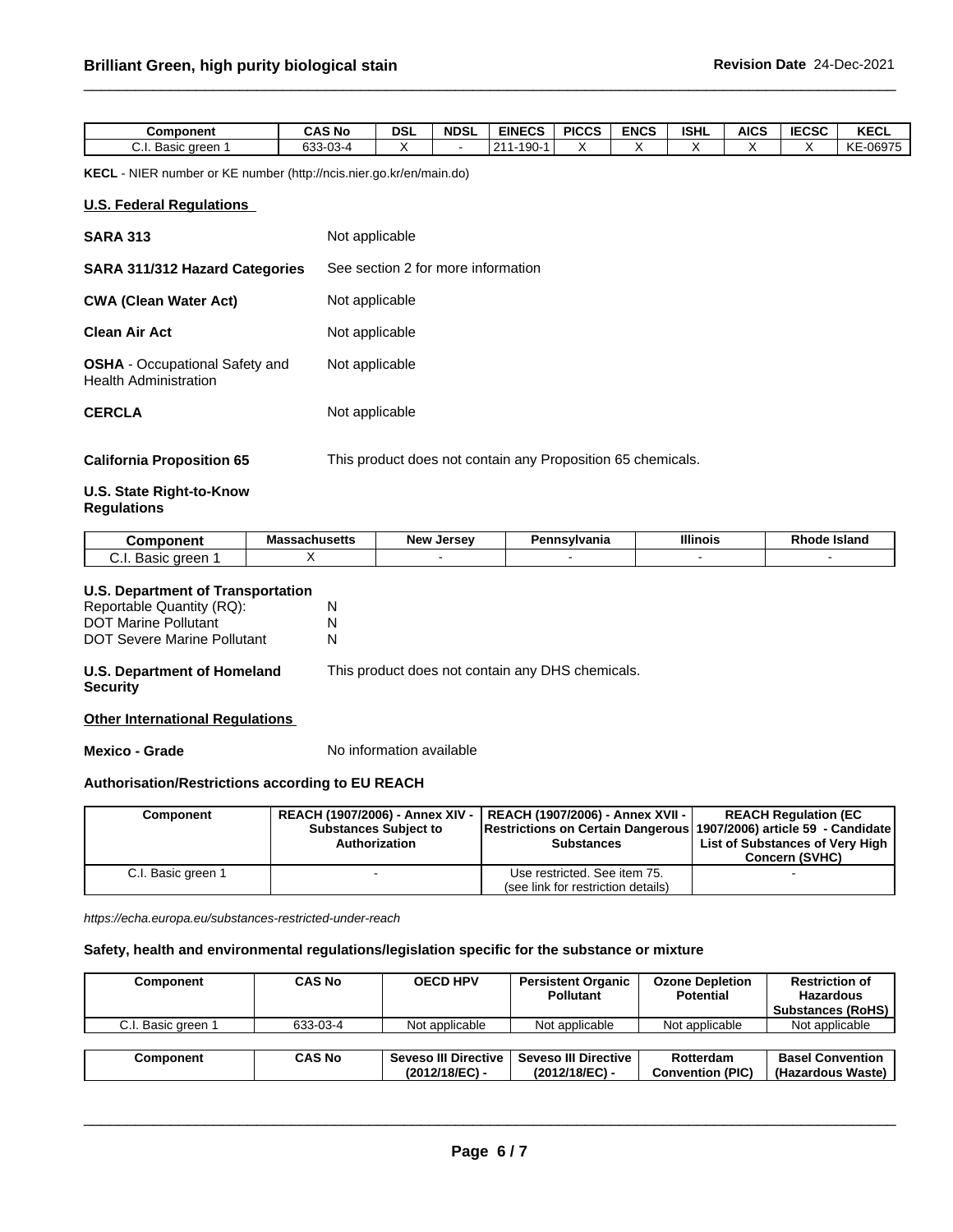| <b>Component</b>                                  | CAS No                                       | DSI | <b>NDSL</b> | <b>EINECS</b>              | <b>PICCS</b> | <b>ENCS</b> | <b>ISHL</b> | <b>AICS</b> | <b>IECSC</b> | <b>KECL</b> |
|---------------------------------------------------|----------------------------------------------|-----|-------------|----------------------------|--------------|-------------|-------------|-------------|--------------|-------------|
| $\overline{\phantom{a}}$<br>. Basic green<br>◡.୲. | $\sim$<br>ം ∩ീ-<br><b>A</b> -1<br>ບບບ<br>ັບບ |     |             | 10 <sup>c</sup><br>01<br>ື |              |             |             |             |              | KE-06975    |

**KECL** - NIER number or KE number (http://ncis.nier.go.kr/en/main.do)

#### **U.S. Federal Regulations**

| Not applicable                     |
|------------------------------------|
| See section 2 for more information |
| Not applicable                     |
| Not applicable                     |
| Not applicable                     |
| Not applicable                     |
|                                    |

**California Proposition 65** This product does not contain any Proposition 65 chemicals.

#### **U.S. State Right-to-Know Regulations**

| `omponen\                        | Massachusetts | <b>Jersey</b><br><b>New</b> | ennsvlvania | <b>Illinois</b> | Rhode<br>` Islan⊾ |
|----------------------------------|---------------|-----------------------------|-------------|-----------------|-------------------|
| araan<br>Basic<br>, uran .<br>ັ. |               |                             |             |                 |                   |

#### **U.S. Department of Transportation**

| Reportable Quantity (RQ):          | N |
|------------------------------------|---|
| <b>DOT Marine Pollutant</b>        | N |
| <b>DOT Severe Marine Pollutant</b> | N |

**U.S. Department of Homeland** This product does not contain any DHS chemicals.

**Other International Regulations**

**Security**

**Mexico - Grade** No information available

#### **Authorisation/Restrictions according to EU REACH**

| Component          | <b>Substances Subject to</b><br>Authorization | REACH (1907/2006) - Annex XIV -   REACH (1907/2006) - Annex XVII -  <br><b>Restrictions on Certain Dangerous 1907/2006) article 59 - Candidate</b><br><b>Substances</b> | <b>REACH Requlation (EC</b><br>List of Substances of Very High<br><b>Concern (SVHC)</b> |
|--------------------|-----------------------------------------------|-------------------------------------------------------------------------------------------------------------------------------------------------------------------------|-----------------------------------------------------------------------------------------|
| C.I. Basic green 1 |                                               | Use restricted. See item 75.                                                                                                                                            |                                                                                         |
|                    |                                               | (see link for restriction details)                                                                                                                                      |                                                                                         |

*https://echa.europa.eu/substances-restricted-under-reach*

#### **Safety, health and environmental regulations/legislation specific for the substance or mixture**

| Component          | <b>CAS No</b> | <b>OECD HPV</b>      | <b>Persistent Organic</b><br><b>Pollutant</b> | <b>Ozone Depletion</b><br>Potential | <b>Restriction of</b><br><b>Hazardous</b><br><b>Substances (RoHS)</b> |
|--------------------|---------------|----------------------|-----------------------------------------------|-------------------------------------|-----------------------------------------------------------------------|
| C.I. Basic green 1 | 633-03-4      | Not applicable       | Not applicable                                | Not applicable                      | Not applicable                                                        |
|                    |               |                      |                                               |                                     |                                                                       |
| Component          | <b>CAS No</b> | Seveso III Directive | <b>Seveso III Directive</b>                   | Rotterdam                           | <b>Basel Convention</b>                                               |
|                    |               | (2012/18/EC) -       | (2012/18/EC) -                                | <b>Convention (PIC)</b>             | (Hazardous Waste)                                                     |